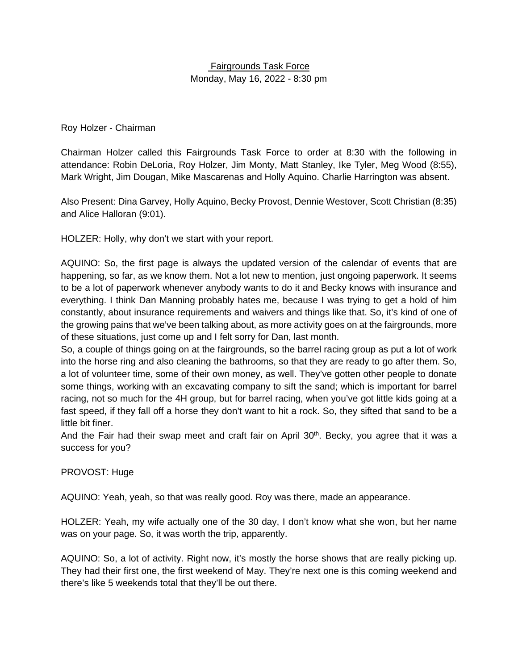# Fairgrounds Task Force Monday, May 16, 2022 - 8:30 pm

Roy Holzer - Chairman

Chairman Holzer called this Fairgrounds Task Force to order at 8:30 with the following in attendance: Robin DeLoria, Roy Holzer, Jim Monty, Matt Stanley, Ike Tyler, Meg Wood (8:55), Mark Wright, Jim Dougan, Mike Mascarenas and Holly Aquino. Charlie Harrington was absent.

Also Present: Dina Garvey, Holly Aquino, Becky Provost, Dennie Westover, Scott Christian (8:35) and Alice Halloran (9:01).

HOLZER: Holly, why don't we start with your report.

AQUINO: So, the first page is always the updated version of the calendar of events that are happening, so far, as we know them. Not a lot new to mention, just ongoing paperwork. It seems to be a lot of paperwork whenever anybody wants to do it and Becky knows with insurance and everything. I think Dan Manning probably hates me, because I was trying to get a hold of him constantly, about insurance requirements and waivers and things like that. So, it's kind of one of the growing pains that we've been talking about, as more activity goes on at the fairgrounds, more of these situations, just come up and I felt sorry for Dan, last month.

So, a couple of things going on at the fairgrounds, so the barrel racing group as put a lot of work into the horse ring and also cleaning the bathrooms, so that they are ready to go after them. So, a lot of volunteer time, some of their own money, as well. They've gotten other people to donate some things, working with an excavating company to sift the sand; which is important for barrel racing, not so much for the 4H group, but for barrel racing, when you've got little kids going at a fast speed, if they fall off a horse they don't want to hit a rock. So, they sifted that sand to be a little bit finer.

And the Fair had their swap meet and craft fair on April  $30<sup>th</sup>$ . Becky, you agree that it was a success for you?

## PROVOST: Huge

AQUINO: Yeah, yeah, so that was really good. Roy was there, made an appearance.

HOLZER: Yeah, my wife actually one of the 30 day, I don't know what she won, but her name was on your page. So, it was worth the trip, apparently.

AQUINO: So, a lot of activity. Right now, it's mostly the horse shows that are really picking up. They had their first one, the first weekend of May. They're next one is this coming weekend and there's like 5 weekends total that they'll be out there.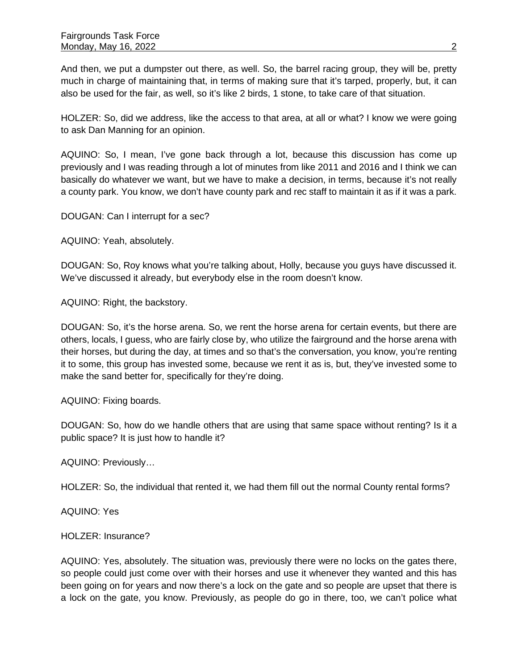And then, we put a dumpster out there, as well. So, the barrel racing group, they will be, pretty much in charge of maintaining that, in terms of making sure that it's tarped, properly, but, it can also be used for the fair, as well, so it's like 2 birds, 1 stone, to take care of that situation.

HOLZER: So, did we address, like the access to that area, at all or what? I know we were going to ask Dan Manning for an opinion.

AQUINO: So, I mean, I've gone back through a lot, because this discussion has come up previously and I was reading through a lot of minutes from like 2011 and 2016 and I think we can basically do whatever we want, but we have to make a decision, in terms, because it's not really a county park. You know, we don't have county park and rec staff to maintain it as if it was a park.

DOUGAN: Can I interrupt for a sec?

AQUINO: Yeah, absolutely.

DOUGAN: So, Roy knows what you're talking about, Holly, because you guys have discussed it. We've discussed it already, but everybody else in the room doesn't know.

AQUINO: Right, the backstory.

DOUGAN: So, it's the horse arena. So, we rent the horse arena for certain events, but there are others, locals, I guess, who are fairly close by, who utilize the fairground and the horse arena with their horses, but during the day, at times and so that's the conversation, you know, you're renting it to some, this group has invested some, because we rent it as is, but, they've invested some to make the sand better for, specifically for they're doing.

AQUINO: Fixing boards.

DOUGAN: So, how do we handle others that are using that same space without renting? Is it a public space? It is just how to handle it?

AQUINO: Previously…

HOLZER: So, the individual that rented it, we had them fill out the normal County rental forms?

AQUINO: Yes

HOLZER: Insurance?

AQUINO: Yes, absolutely. The situation was, previously there were no locks on the gates there, so people could just come over with their horses and use it whenever they wanted and this has been going on for years and now there's a lock on the gate and so people are upset that there is a lock on the gate, you know. Previously, as people do go in there, too, we can't police what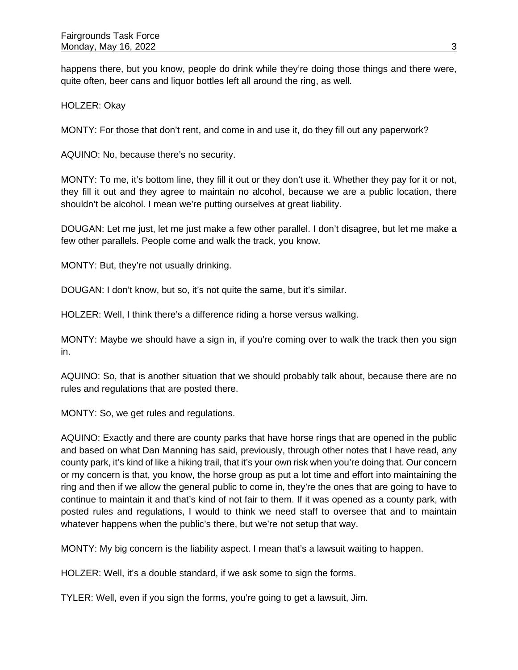happens there, but you know, people do drink while they're doing those things and there were, quite often, beer cans and liquor bottles left all around the ring, as well.

HOLZER: Okay

MONTY: For those that don't rent, and come in and use it, do they fill out any paperwork?

AQUINO: No, because there's no security.

MONTY: To me, it's bottom line, they fill it out or they don't use it. Whether they pay for it or not, they fill it out and they agree to maintain no alcohol, because we are a public location, there shouldn't be alcohol. I mean we're putting ourselves at great liability.

DOUGAN: Let me just, let me just make a few other parallel. I don't disagree, but let me make a few other parallels. People come and walk the track, you know.

MONTY: But, they're not usually drinking.

DOUGAN: I don't know, but so, it's not quite the same, but it's similar.

HOLZER: Well, I think there's a difference riding a horse versus walking.

MONTY: Maybe we should have a sign in, if you're coming over to walk the track then you sign in.

AQUINO: So, that is another situation that we should probably talk about, because there are no rules and regulations that are posted there.

MONTY: So, we get rules and regulations.

AQUINO: Exactly and there are county parks that have horse rings that are opened in the public and based on what Dan Manning has said, previously, through other notes that I have read, any county park, it's kind of like a hiking trail, that it's your own risk when you're doing that. Our concern or my concern is that, you know, the horse group as put a lot time and effort into maintaining the ring and then if we allow the general public to come in, they're the ones that are going to have to continue to maintain it and that's kind of not fair to them. If it was opened as a county park, with posted rules and regulations, I would to think we need staff to oversee that and to maintain whatever happens when the public's there, but we're not setup that way.

MONTY: My big concern is the liability aspect. I mean that's a lawsuit waiting to happen.

HOLZER: Well, it's a double standard, if we ask some to sign the forms.

TYLER: Well, even if you sign the forms, you're going to get a lawsuit, Jim.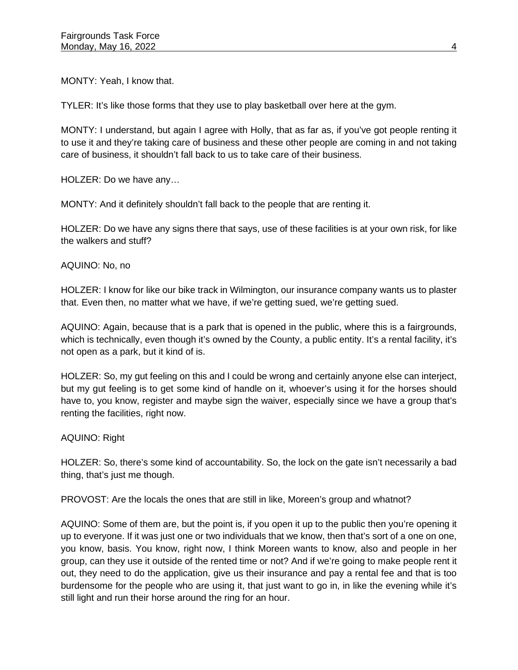MONTY: Yeah, I know that.

TYLER: It's like those forms that they use to play basketball over here at the gym.

MONTY: I understand, but again I agree with Holly, that as far as, if you've got people renting it to use it and they're taking care of business and these other people are coming in and not taking care of business, it shouldn't fall back to us to take care of their business.

HOLZER: Do we have any…

MONTY: And it definitely shouldn't fall back to the people that are renting it.

HOLZER: Do we have any signs there that says, use of these facilities is at your own risk, for like the walkers and stuff?

AQUINO: No, no

HOLZER: I know for like our bike track in Wilmington, our insurance company wants us to plaster that. Even then, no matter what we have, if we're getting sued, we're getting sued.

AQUINO: Again, because that is a park that is opened in the public, where this is a fairgrounds, which is technically, even though it's owned by the County, a public entity. It's a rental facility, it's not open as a park, but it kind of is.

HOLZER: So, my gut feeling on this and I could be wrong and certainly anyone else can interject, but my gut feeling is to get some kind of handle on it, whoever's using it for the horses should have to, you know, register and maybe sign the waiver, especially since we have a group that's renting the facilities, right now.

## AQUINO: Right

HOLZER: So, there's some kind of accountability. So, the lock on the gate isn't necessarily a bad thing, that's just me though.

PROVOST: Are the locals the ones that are still in like, Moreen's group and whatnot?

AQUINO: Some of them are, but the point is, if you open it up to the public then you're opening it up to everyone. If it was just one or two individuals that we know, then that's sort of a one on one, you know, basis. You know, right now, I think Moreen wants to know, also and people in her group, can they use it outside of the rented time or not? And if we're going to make people rent it out, they need to do the application, give us their insurance and pay a rental fee and that is too burdensome for the people who are using it, that just want to go in, in like the evening while it's still light and run their horse around the ring for an hour.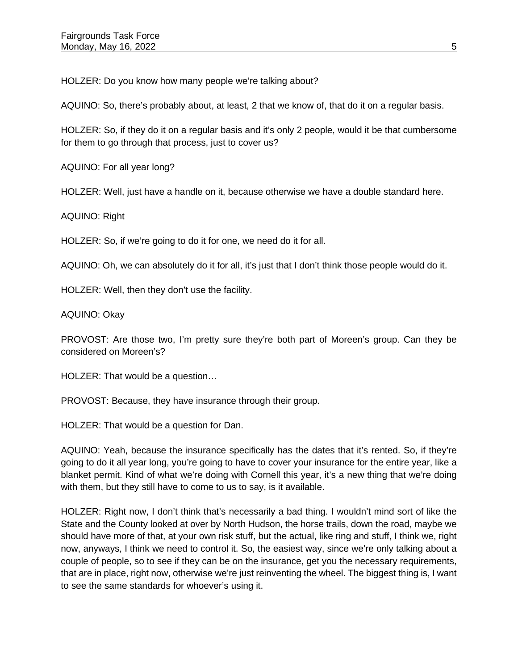HOLZER: Do you know how many people we're talking about?

AQUINO: So, there's probably about, at least, 2 that we know of, that do it on a regular basis.

HOLZER: So, if they do it on a regular basis and it's only 2 people, would it be that cumbersome for them to go through that process, just to cover us?

AQUINO: For all year long?

HOLZER: Well, just have a handle on it, because otherwise we have a double standard here.

AQUINO: Right

HOLZER: So, if we're going to do it for one, we need do it for all.

AQUINO: Oh, we can absolutely do it for all, it's just that I don't think those people would do it.

HOLZER: Well, then they don't use the facility.

AQUINO: Okay

PROVOST: Are those two, I'm pretty sure they're both part of Moreen's group. Can they be considered on Moreen's?

HOLZER: That would be a question…

PROVOST: Because, they have insurance through their group.

HOLZER: That would be a question for Dan.

AQUINO: Yeah, because the insurance specifically has the dates that it's rented. So, if they're going to do it all year long, you're going to have to cover your insurance for the entire year, like a blanket permit. Kind of what we're doing with Cornell this year, it's a new thing that we're doing with them, but they still have to come to us to say, is it available.

HOLZER: Right now, I don't think that's necessarily a bad thing. I wouldn't mind sort of like the State and the County looked at over by North Hudson, the horse trails, down the road, maybe we should have more of that, at your own risk stuff, but the actual, like ring and stuff, I think we, right now, anyways, I think we need to control it. So, the easiest way, since we're only talking about a couple of people, so to see if they can be on the insurance, get you the necessary requirements, that are in place, right now, otherwise we're just reinventing the wheel. The biggest thing is, I want to see the same standards for whoever's using it.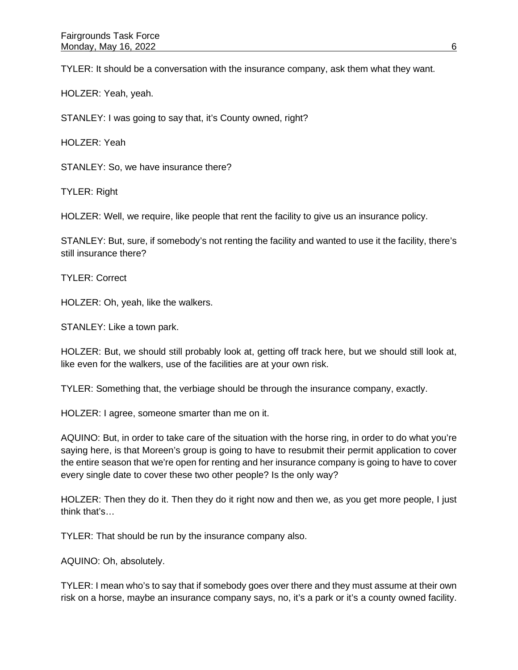TYLER: It should be a conversation with the insurance company, ask them what they want.

HOLZER: Yeah, yeah.

STANLEY: I was going to say that, it's County owned, right?

HOLZER: Yeah

STANLEY: So, we have insurance there?

TYLER: Right

HOLZER: Well, we require, like people that rent the facility to give us an insurance policy.

STANLEY: But, sure, if somebody's not renting the facility and wanted to use it the facility, there's still insurance there?

TYLER: Correct

HOLZER: Oh, yeah, like the walkers.

STANLEY: Like a town park.

HOLZER: But, we should still probably look at, getting off track here, but we should still look at, like even for the walkers, use of the facilities are at your own risk.

TYLER: Something that, the verbiage should be through the insurance company, exactly.

HOLZER: I agree, someone smarter than me on it.

AQUINO: But, in order to take care of the situation with the horse ring, in order to do what you're saying here, is that Moreen's group is going to have to resubmit their permit application to cover the entire season that we're open for renting and her insurance company is going to have to cover every single date to cover these two other people? Is the only way?

HOLZER: Then they do it. Then they do it right now and then we, as you get more people, I just think that's…

TYLER: That should be run by the insurance company also.

AQUINO: Oh, absolutely.

TYLER: I mean who's to say that if somebody goes over there and they must assume at their own risk on a horse, maybe an insurance company says, no, it's a park or it's a county owned facility.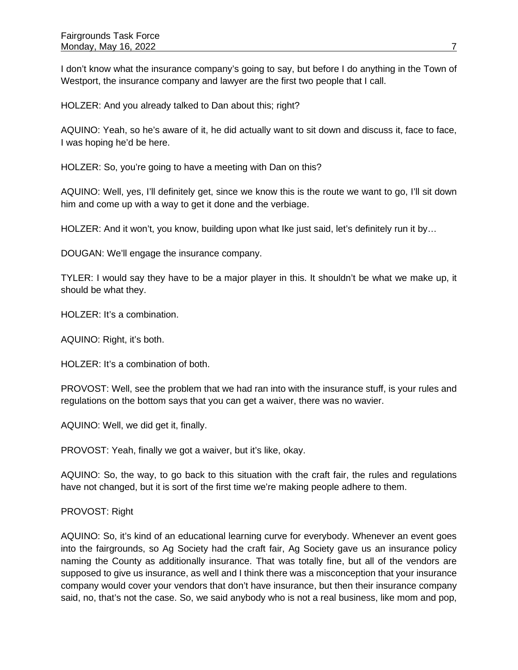I don't know what the insurance company's going to say, but before I do anything in the Town of Westport, the insurance company and lawyer are the first two people that I call.

HOLZER: And you already talked to Dan about this; right?

AQUINO: Yeah, so he's aware of it, he did actually want to sit down and discuss it, face to face, I was hoping he'd be here.

HOLZER: So, you're going to have a meeting with Dan on this?

AQUINO: Well, yes, I'll definitely get, since we know this is the route we want to go, I'll sit down him and come up with a way to get it done and the verbiage.

HOLZER: And it won't, you know, building upon what Ike just said, let's definitely run it by...

DOUGAN: We'll engage the insurance company.

TYLER: I would say they have to be a major player in this. It shouldn't be what we make up, it should be what they.

HOLZER: It's a combination.

AQUINO: Right, it's both.

HOLZER: It's a combination of both.

PROVOST: Well, see the problem that we had ran into with the insurance stuff, is your rules and regulations on the bottom says that you can get a waiver, there was no wavier.

AQUINO: Well, we did get it, finally.

PROVOST: Yeah, finally we got a waiver, but it's like, okay.

AQUINO: So, the way, to go back to this situation with the craft fair, the rules and regulations have not changed, but it is sort of the first time we're making people adhere to them.

# PROVOST: Right

AQUINO: So, it's kind of an educational learning curve for everybody. Whenever an event goes into the fairgrounds, so Ag Society had the craft fair, Ag Society gave us an insurance policy naming the County as additionally insurance. That was totally fine, but all of the vendors are supposed to give us insurance, as well and I think there was a misconception that your insurance company would cover your vendors that don't have insurance, but then their insurance company said, no, that's not the case. So, we said anybody who is not a real business, like mom and pop,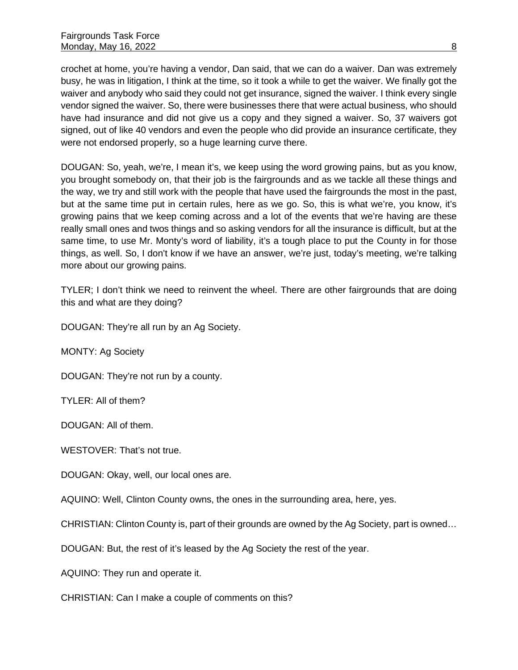crochet at home, you're having a vendor, Dan said, that we can do a waiver. Dan was extremely busy, he was in litigation, I think at the time, so it took a while to get the waiver. We finally got the waiver and anybody who said they could not get insurance, signed the waiver. I think every single vendor signed the waiver. So, there were businesses there that were actual business, who should have had insurance and did not give us a copy and they signed a waiver. So, 37 waivers got signed, out of like 40 vendors and even the people who did provide an insurance certificate, they were not endorsed properly, so a huge learning curve there.

DOUGAN: So, yeah, we're, I mean it's, we keep using the word growing pains, but as you know, you brought somebody on, that their job is the fairgrounds and as we tackle all these things and the way, we try and still work with the people that have used the fairgrounds the most in the past, but at the same time put in certain rules, here as we go. So, this is what we're, you know, it's growing pains that we keep coming across and a lot of the events that we're having are these really small ones and twos things and so asking vendors for all the insurance is difficult, but at the same time, to use Mr. Monty's word of liability, it's a tough place to put the County in for those things, as well. So, I don't know if we have an answer, we're just, today's meeting, we're talking more about our growing pains.

TYLER; I don't think we need to reinvent the wheel. There are other fairgrounds that are doing this and what are they doing?

DOUGAN: They're all run by an Ag Society.

MONTY: Ag Society

DOUGAN: They're not run by a county.

TYLER: All of them?

DOUGAN: All of them.

WESTOVER: That's not true.

DOUGAN: Okay, well, our local ones are.

AQUINO: Well, Clinton County owns, the ones in the surrounding area, here, yes.

CHRISTIAN: Clinton County is, part of their grounds are owned by the Ag Society, part is owned…

DOUGAN: But, the rest of it's leased by the Ag Society the rest of the year.

AQUINO: They run and operate it.

CHRISTIAN: Can I make a couple of comments on this?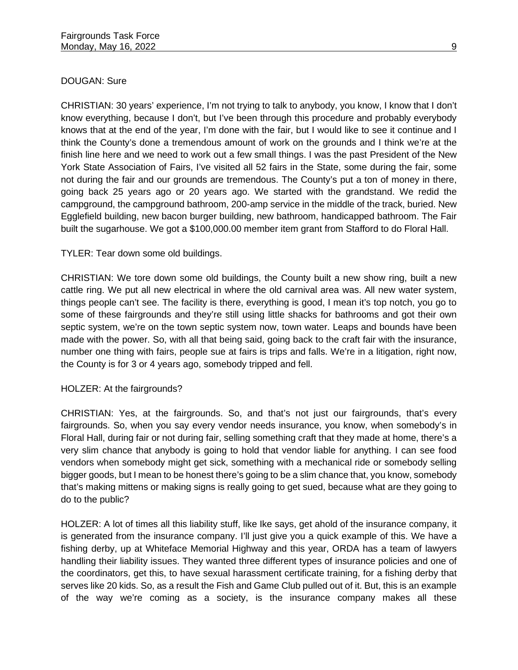# DOUGAN: Sure

CHRISTIAN: 30 years' experience, I'm not trying to talk to anybody, you know, I know that I don't know everything, because I don't, but I've been through this procedure and probably everybody knows that at the end of the year, I'm done with the fair, but I would like to see it continue and I think the County's done a tremendous amount of work on the grounds and I think we're at the finish line here and we need to work out a few small things. I was the past President of the New York State Association of Fairs, I've visited all 52 fairs in the State, some during the fair, some not during the fair and our grounds are tremendous. The County's put a ton of money in there, going back 25 years ago or 20 years ago. We started with the grandstand. We redid the campground, the campground bathroom, 200-amp service in the middle of the track, buried. New Egglefield building, new bacon burger building, new bathroom, handicapped bathroom. The Fair built the sugarhouse. We got a \$100,000.00 member item grant from Stafford to do Floral Hall.

## TYLER: Tear down some old buildings.

CHRISTIAN: We tore down some old buildings, the County built a new show ring, built a new cattle ring. We put all new electrical in where the old carnival area was. All new water system, things people can't see. The facility is there, everything is good, I mean it's top notch, you go to some of these fairgrounds and they're still using little shacks for bathrooms and got their own septic system, we're on the town septic system now, town water. Leaps and bounds have been made with the power. So, with all that being said, going back to the craft fair with the insurance, number one thing with fairs, people sue at fairs is trips and falls. We're in a litigation, right now, the County is for 3 or 4 years ago, somebody tripped and fell.

## HOLZER: At the fairgrounds?

CHRISTIAN: Yes, at the fairgrounds. So, and that's not just our fairgrounds, that's every fairgrounds. So, when you say every vendor needs insurance, you know, when somebody's in Floral Hall, during fair or not during fair, selling something craft that they made at home, there's a very slim chance that anybody is going to hold that vendor liable for anything. I can see food vendors when somebody might get sick, something with a mechanical ride or somebody selling bigger goods, but I mean to be honest there's going to be a slim chance that, you know, somebody that's making mittens or making signs is really going to get sued, because what are they going to do to the public?

HOLZER: A lot of times all this liability stuff, like Ike says, get ahold of the insurance company, it is generated from the insurance company. I'll just give you a quick example of this. We have a fishing derby, up at Whiteface Memorial Highway and this year, ORDA has a team of lawyers handling their liability issues. They wanted three different types of insurance policies and one of the coordinators, get this, to have sexual harassment certificate training, for a fishing derby that serves like 20 kids. So, as a result the Fish and Game Club pulled out of it. But, this is an example of the way we're coming as a society, is the insurance company makes all these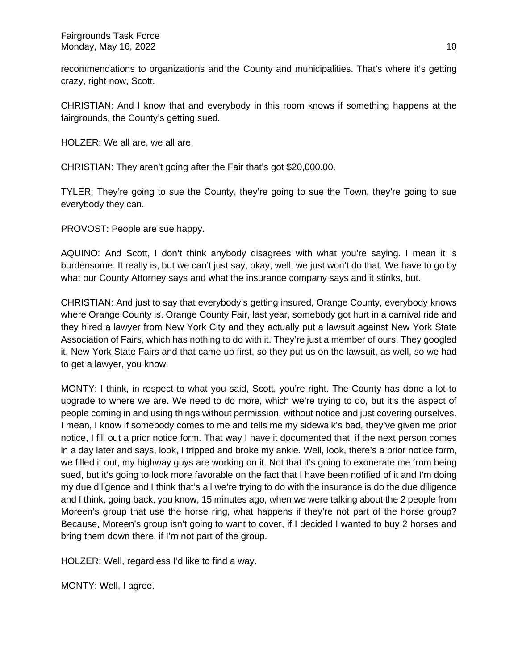recommendations to organizations and the County and municipalities. That's where it's getting crazy, right now, Scott.

CHRISTIAN: And I know that and everybody in this room knows if something happens at the fairgrounds, the County's getting sued.

HOLZER: We all are, we all are.

CHRISTIAN: They aren't going after the Fair that's got \$20,000.00.

TYLER: They're going to sue the County, they're going to sue the Town, they're going to sue everybody they can.

PROVOST: People are sue happy.

AQUINO: And Scott, I don't think anybody disagrees with what you're saying. I mean it is burdensome. It really is, but we can't just say, okay, well, we just won't do that. We have to go by what our County Attorney says and what the insurance company says and it stinks, but.

CHRISTIAN: And just to say that everybody's getting insured, Orange County, everybody knows where Orange County is. Orange County Fair, last year, somebody got hurt in a carnival ride and they hired a lawyer from New York City and they actually put a lawsuit against New York State Association of Fairs, which has nothing to do with it. They're just a member of ours. They googled it, New York State Fairs and that came up first, so they put us on the lawsuit, as well, so we had to get a lawyer, you know.

MONTY: I think, in respect to what you said, Scott, you're right. The County has done a lot to upgrade to where we are. We need to do more, which we're trying to do, but it's the aspect of people coming in and using things without permission, without notice and just covering ourselves. I mean, I know if somebody comes to me and tells me my sidewalk's bad, they've given me prior notice, I fill out a prior notice form. That way I have it documented that, if the next person comes in a day later and says, look, I tripped and broke my ankle. Well, look, there's a prior notice form, we filled it out, my highway guys are working on it. Not that it's going to exonerate me from being sued, but it's going to look more favorable on the fact that I have been notified of it and I'm doing my due diligence and I think that's all we're trying to do with the insurance is do the due diligence and I think, going back, you know, 15 minutes ago, when we were talking about the 2 people from Moreen's group that use the horse ring, what happens if they're not part of the horse group? Because, Moreen's group isn't going to want to cover, if I decided I wanted to buy 2 horses and bring them down there, if I'm not part of the group.

HOLZER: Well, regardless I'd like to find a way.

MONTY: Well, I agree.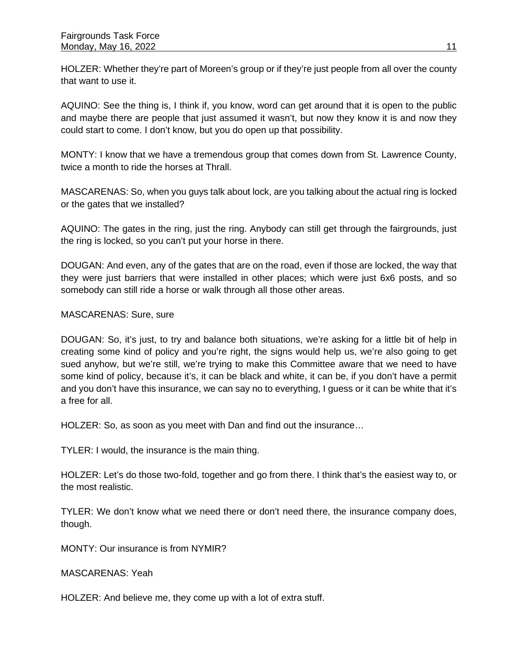HOLZER: Whether they're part of Moreen's group or if they're just people from all over the county that want to use it.

AQUINO: See the thing is, I think if, you know, word can get around that it is open to the public and maybe there are people that just assumed it wasn't, but now they know it is and now they could start to come. I don't know, but you do open up that possibility.

MONTY: I know that we have a tremendous group that comes down from St. Lawrence County, twice a month to ride the horses at Thrall.

MASCARENAS: So, when you guys talk about lock, are you talking about the actual ring is locked or the gates that we installed?

AQUINO: The gates in the ring, just the ring. Anybody can still get through the fairgrounds, just the ring is locked, so you can't put your horse in there.

DOUGAN: And even, any of the gates that are on the road, even if those are locked, the way that they were just barriers that were installed in other places; which were just 6x6 posts, and so somebody can still ride a horse or walk through all those other areas.

## MASCARENAS: Sure, sure

DOUGAN: So, it's just, to try and balance both situations, we're asking for a little bit of help in creating some kind of policy and you're right, the signs would help us, we're also going to get sued anyhow, but we're still, we're trying to make this Committee aware that we need to have some kind of policy, because it's, it can be black and white, it can be, if you don't have a permit and you don't have this insurance, we can say no to everything, I guess or it can be white that it's a free for all.

HOLZER: So, as soon as you meet with Dan and find out the insurance…

TYLER: I would, the insurance is the main thing.

HOLZER: Let's do those two-fold, together and go from there. I think that's the easiest way to, or the most realistic.

TYLER: We don't know what we need there or don't need there, the insurance company does, though.

MONTY: Our insurance is from NYMIR?

MASCARENAS: Yeah

HOLZER: And believe me, they come up with a lot of extra stuff.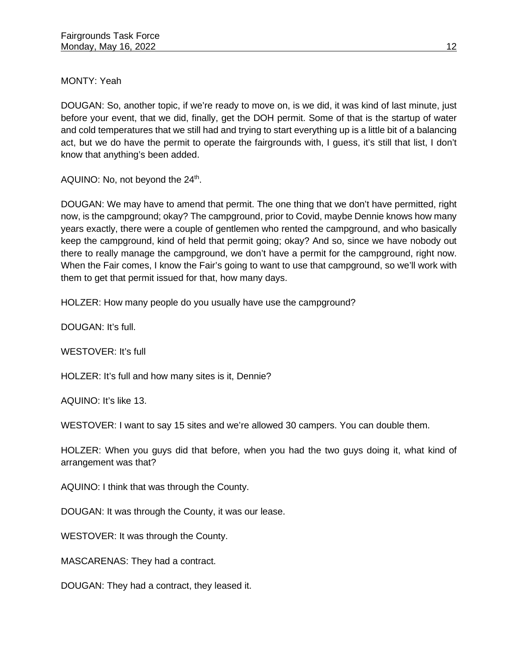MONTY: Yeah

DOUGAN: So, another topic, if we're ready to move on, is we did, it was kind of last minute, just before your event, that we did, finally, get the DOH permit. Some of that is the startup of water and cold temperatures that we still had and trying to start everything up is a little bit of a balancing act, but we do have the permit to operate the fairgrounds with, I guess, it's still that list, I don't know that anything's been added.

AQUINO: No, not beyond the  $24<sup>th</sup>$ .

DOUGAN: We may have to amend that permit. The one thing that we don't have permitted, right now, is the campground; okay? The campground, prior to Covid, maybe Dennie knows how many years exactly, there were a couple of gentlemen who rented the campground, and who basically keep the campground, kind of held that permit going; okay? And so, since we have nobody out there to really manage the campground, we don't have a permit for the campground, right now. When the Fair comes, I know the Fair's going to want to use that campground, so we'll work with them to get that permit issued for that, how many days.

HOLZER: How many people do you usually have use the campground?

DOUGAN: It's full.

WESTOVER: It's full

HOLZER: It's full and how many sites is it, Dennie?

AQUINO: It's like 13.

WESTOVER: I want to say 15 sites and we're allowed 30 campers. You can double them.

HOLZER: When you guys did that before, when you had the two guys doing it, what kind of arrangement was that?

AQUINO: I think that was through the County.

DOUGAN: It was through the County, it was our lease.

WESTOVER: It was through the County.

MASCARENAS: They had a contract.

DOUGAN: They had a contract, they leased it.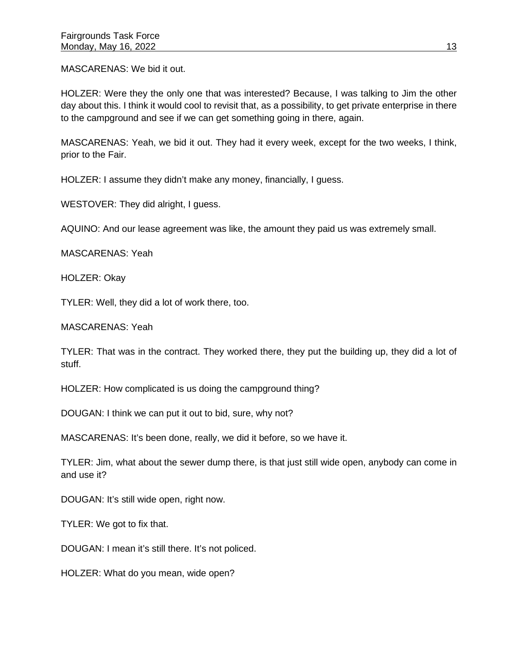MASCARENAS: We bid it out.

HOLZER: Were they the only one that was interested? Because, I was talking to Jim the other day about this. I think it would cool to revisit that, as a possibility, to get private enterprise in there to the campground and see if we can get something going in there, again.

MASCARENAS: Yeah, we bid it out. They had it every week, except for the two weeks, I think, prior to the Fair.

HOLZER: I assume they didn't make any money, financially, I guess.

WESTOVER: They did alright, I guess.

AQUINO: And our lease agreement was like, the amount they paid us was extremely small.

MASCARENAS: Yeah

HOLZER: Okay

TYLER: Well, they did a lot of work there, too.

MASCARENAS: Yeah

TYLER: That was in the contract. They worked there, they put the building up, they did a lot of stuff.

HOLZER: How complicated is us doing the campground thing?

DOUGAN: I think we can put it out to bid, sure, why not?

MASCARENAS: It's been done, really, we did it before, so we have it.

TYLER: Jim, what about the sewer dump there, is that just still wide open, anybody can come in and use it?

DOUGAN: It's still wide open, right now.

TYLER: We got to fix that.

DOUGAN: I mean it's still there. It's not policed.

HOLZER: What do you mean, wide open?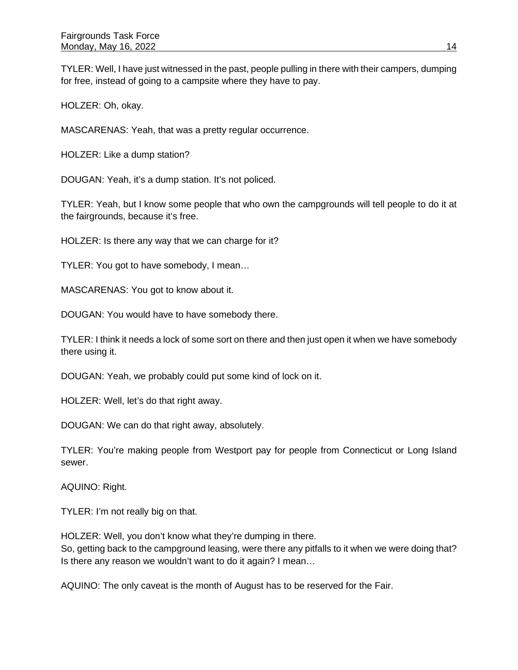TYLER: Well, I have just witnessed in the past, people pulling in there with their campers, dumping for free, instead of going to a campsite where they have to pay.

HOLZER: Oh, okay.

MASCARENAS: Yeah, that was a pretty regular occurrence.

HOLZER: Like a dump station?

DOUGAN: Yeah, it's a dump station. It's not policed.

TYLER: Yeah, but I know some people that who own the campgrounds will tell people to do it at the fairgrounds, because it's free.

HOLZER: Is there any way that we can charge for it?

TYLER: You got to have somebody, I mean…

MASCARENAS: You got to know about it.

DOUGAN: You would have to have somebody there.

TYLER: I think it needs a lock of some sort on there and then just open it when we have somebody there using it.

DOUGAN: Yeah, we probably could put some kind of lock on it.

HOLZER: Well, let's do that right away.

DOUGAN: We can do that right away, absolutely.

TYLER: You're making people from Westport pay for people from Connecticut or Long Island sewer.

AQUINO: Right.

TYLER: I'm not really big on that.

HOLZER: Well, you don't know what they're dumping in there.

So, getting back to the campground leasing, were there any pitfalls to it when we were doing that? Is there any reason we wouldn't want to do it again? I mean…

AQUINO: The only caveat is the month of August has to be reserved for the Fair.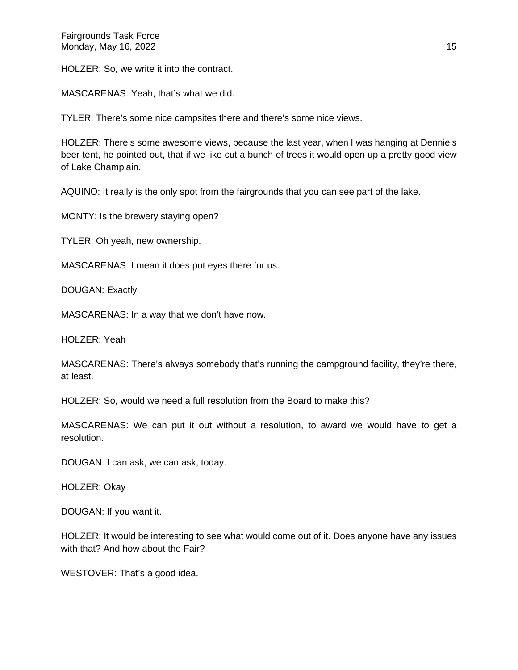HOLZER: So, we write it into the contract.

MASCARENAS: Yeah, that's what we did.

TYLER: There's some nice campsites there and there's some nice views.

HOLZER: There's some awesome views, because the last year, when I was hanging at Dennie's beer tent, he pointed out, that if we like cut a bunch of trees it would open up a pretty good view of Lake Champlain.

AQUINO: It really is the only spot from the fairgrounds that you can see part of the lake.

MONTY: Is the brewery staying open?

TYLER: Oh yeah, new ownership.

MASCARENAS: I mean it does put eyes there for us.

DOUGAN: Exactly

MASCARENAS: In a way that we don't have now.

HOLZER: Yeah

MASCARENAS: There's always somebody that's running the campground facility, they're there, at least.

HOLZER: So, would we need a full resolution from the Board to make this?

MASCARENAS: We can put it out without a resolution, to award we would have to get a resolution.

DOUGAN: I can ask, we can ask, today.

HOLZER: Okay

DOUGAN: If you want it.

HOLZER: It would be interesting to see what would come out of it. Does anyone have any issues with that? And how about the Fair?

WESTOVER: That's a good idea.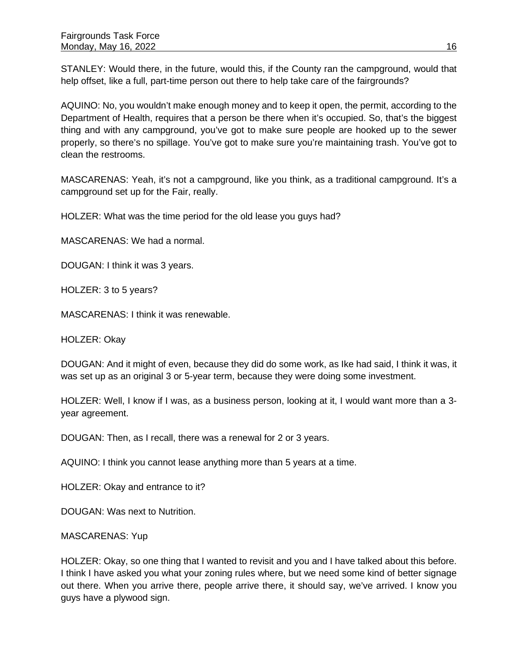STANLEY: Would there, in the future, would this, if the County ran the campground, would that help offset, like a full, part-time person out there to help take care of the fairgrounds?

AQUINO: No, you wouldn't make enough money and to keep it open, the permit, according to the Department of Health, requires that a person be there when it's occupied. So, that's the biggest thing and with any campground, you've got to make sure people are hooked up to the sewer properly, so there's no spillage. You've got to make sure you're maintaining trash. You've got to clean the restrooms.

MASCARENAS: Yeah, it's not a campground, like you think, as a traditional campground. It's a campground set up for the Fair, really.

HOLZER: What was the time period for the old lease you guys had?

MASCARENAS: We had a normal.

DOUGAN: I think it was 3 years.

HOLZER: 3 to 5 years?

MASCARENAS: I think it was renewable.

HOLZER: Okay

DOUGAN: And it might of even, because they did do some work, as Ike had said, I think it was, it was set up as an original 3 or 5-year term, because they were doing some investment.

HOLZER: Well, I know if I was, as a business person, looking at it, I would want more than a 3 year agreement.

DOUGAN: Then, as I recall, there was a renewal for 2 or 3 years.

AQUINO: I think you cannot lease anything more than 5 years at a time.

HOLZER: Okay and entrance to it?

DOUGAN: Was next to Nutrition.

## MASCARENAS: Yup

HOLZER: Okay, so one thing that I wanted to revisit and you and I have talked about this before. I think I have asked you what your zoning rules where, but we need some kind of better signage out there. When you arrive there, people arrive there, it should say, we've arrived. I know you guys have a plywood sign.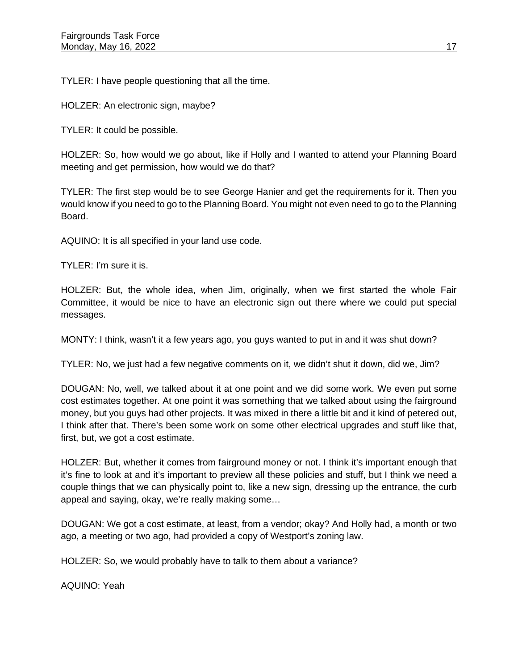TYLER: I have people questioning that all the time.

HOLZER: An electronic sign, maybe?

TYLER: It could be possible.

HOLZER: So, how would we go about, like if Holly and I wanted to attend your Planning Board meeting and get permission, how would we do that?

TYLER: The first step would be to see George Hanier and get the requirements for it. Then you would know if you need to go to the Planning Board. You might not even need to go to the Planning Board.

AQUINO: It is all specified in your land use code.

TYLER: I'm sure it is.

HOLZER: But, the whole idea, when Jim, originally, when we first started the whole Fair Committee, it would be nice to have an electronic sign out there where we could put special messages.

MONTY: I think, wasn't it a few years ago, you guys wanted to put in and it was shut down?

TYLER: No, we just had a few negative comments on it, we didn't shut it down, did we, Jim?

DOUGAN: No, well, we talked about it at one point and we did some work. We even put some cost estimates together. At one point it was something that we talked about using the fairground money, but you guys had other projects. It was mixed in there a little bit and it kind of petered out, I think after that. There's been some work on some other electrical upgrades and stuff like that, first, but, we got a cost estimate.

HOLZER: But, whether it comes from fairground money or not. I think it's important enough that it's fine to look at and it's important to preview all these policies and stuff, but I think we need a couple things that we can physically point to, like a new sign, dressing up the entrance, the curb appeal and saying, okay, we're really making some…

DOUGAN: We got a cost estimate, at least, from a vendor; okay? And Holly had, a month or two ago, a meeting or two ago, had provided a copy of Westport's zoning law.

HOLZER: So, we would probably have to talk to them about a variance?

AQUINO: Yeah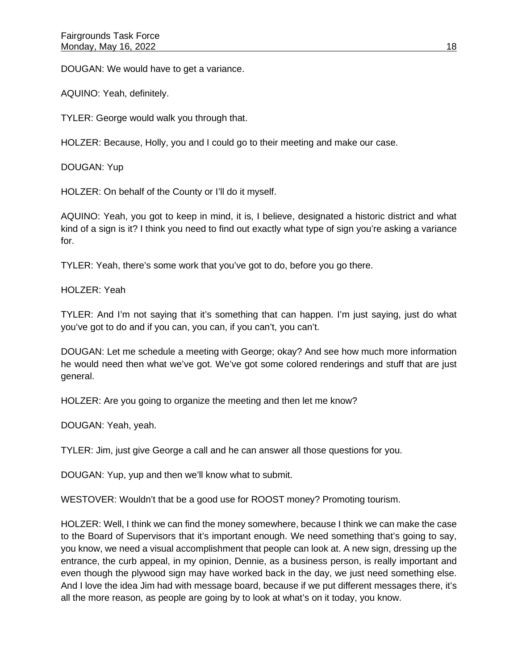DOUGAN: We would have to get a variance.

AQUINO: Yeah, definitely.

TYLER: George would walk you through that.

HOLZER: Because, Holly, you and I could go to their meeting and make our case.

DOUGAN: Yup

HOLZER: On behalf of the County or I'll do it myself.

AQUINO: Yeah, you got to keep in mind, it is, I believe, designated a historic district and what kind of a sign is it? I think you need to find out exactly what type of sign you're asking a variance for.

TYLER: Yeah, there's some work that you've got to do, before you go there.

HOLZER: Yeah

TYLER: And I'm not saying that it's something that can happen. I'm just saying, just do what you've got to do and if you can, you can, if you can't, you can't.

DOUGAN: Let me schedule a meeting with George; okay? And see how much more information he would need then what we've got. We've got some colored renderings and stuff that are just general.

HOLZER: Are you going to organize the meeting and then let me know?

DOUGAN: Yeah, yeah.

TYLER: Jim, just give George a call and he can answer all those questions for you.

DOUGAN: Yup, yup and then we'll know what to submit.

WESTOVER: Wouldn't that be a good use for ROOST money? Promoting tourism.

HOLZER: Well, I think we can find the money somewhere, because I think we can make the case to the Board of Supervisors that it's important enough. We need something that's going to say, you know, we need a visual accomplishment that people can look at. A new sign, dressing up the entrance, the curb appeal, in my opinion, Dennie, as a business person, is really important and even though the plywood sign may have worked back in the day, we just need something else. And I love the idea Jim had with message board, because if we put different messages there, it's all the more reason, as people are going by to look at what's on it today, you know.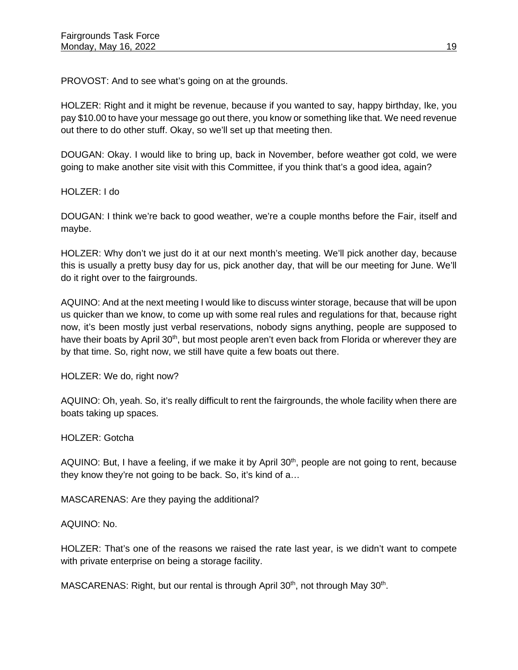PROVOST: And to see what's going on at the grounds.

HOLZER: Right and it might be revenue, because if you wanted to say, happy birthday, Ike, you pay \$10.00 to have your message go out there, you know or something like that. We need revenue out there to do other stuff. Okay, so we'll set up that meeting then.

DOUGAN: Okay. I would like to bring up, back in November, before weather got cold, we were going to make another site visit with this Committee, if you think that's a good idea, again?

HOLZER: I do

DOUGAN: I think we're back to good weather, we're a couple months before the Fair, itself and maybe.

HOLZER: Why don't we just do it at our next month's meeting. We'll pick another day, because this is usually a pretty busy day for us, pick another day, that will be our meeting for June. We'll do it right over to the fairgrounds.

AQUINO: And at the next meeting I would like to discuss winter storage, because that will be upon us quicker than we know, to come up with some real rules and regulations for that, because right now, it's been mostly just verbal reservations, nobody signs anything, people are supposed to have their boats by April 30<sup>th</sup>, but most people aren't even back from Florida or wherever they are by that time. So, right now, we still have quite a few boats out there.

HOLZER: We do, right now?

AQUINO: Oh, yeah. So, it's really difficult to rent the fairgrounds, the whole facility when there are boats taking up spaces.

HOLZER: Gotcha

AQUINO: But, I have a feeling, if we make it by April 30<sup>th</sup>, people are not going to rent, because they know they're not going to be back. So, it's kind of a…

MASCARENAS: Are they paying the additional?

AQUINO: No.

HOLZER: That's one of the reasons we raised the rate last year, is we didn't want to compete with private enterprise on being a storage facility.

MASCARENAS: Right, but our rental is through April 30<sup>th</sup>, not through May 30<sup>th</sup>.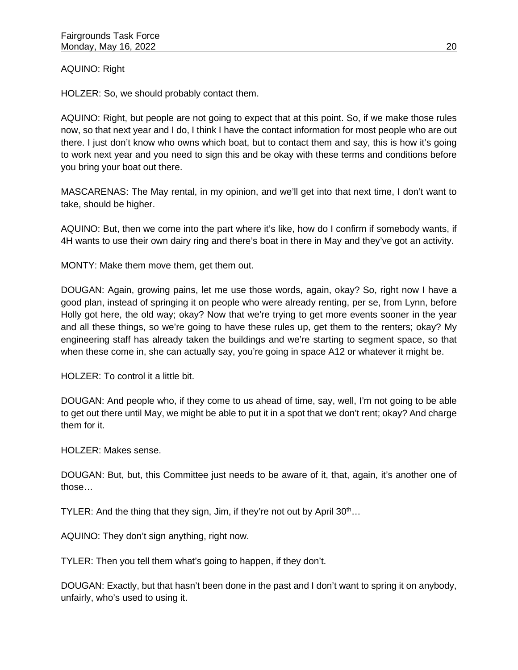# AQUINO: Right

HOLZER: So, we should probably contact them.

AQUINO: Right, but people are not going to expect that at this point. So, if we make those rules now, so that next year and I do, I think I have the contact information for most people who are out there. I just don't know who owns which boat, but to contact them and say, this is how it's going to work next year and you need to sign this and be okay with these terms and conditions before you bring your boat out there.

MASCARENAS: The May rental, in my opinion, and we'll get into that next time, I don't want to take, should be higher.

AQUINO: But, then we come into the part where it's like, how do I confirm if somebody wants, if 4H wants to use their own dairy ring and there's boat in there in May and they've got an activity.

MONTY: Make them move them, get them out.

DOUGAN: Again, growing pains, let me use those words, again, okay? So, right now I have a good plan, instead of springing it on people who were already renting, per se, from Lynn, before Holly got here, the old way; okay? Now that we're trying to get more events sooner in the year and all these things, so we're going to have these rules up, get them to the renters; okay? My engineering staff has already taken the buildings and we're starting to segment space, so that when these come in, she can actually say, you're going in space A12 or whatever it might be.

HOLZER: To control it a little bit.

DOUGAN: And people who, if they come to us ahead of time, say, well, I'm not going to be able to get out there until May, we might be able to put it in a spot that we don't rent; okay? And charge them for it.

HOLZER: Makes sense.

DOUGAN: But, but, this Committee just needs to be aware of it, that, again, it's another one of those…

TYLER: And the thing that they sign, Jim, if they're not out by April 30<sup>th</sup>...

AQUINO: They don't sign anything, right now.

TYLER: Then you tell them what's going to happen, if they don't.

DOUGAN: Exactly, but that hasn't been done in the past and I don't want to spring it on anybody, unfairly, who's used to using it.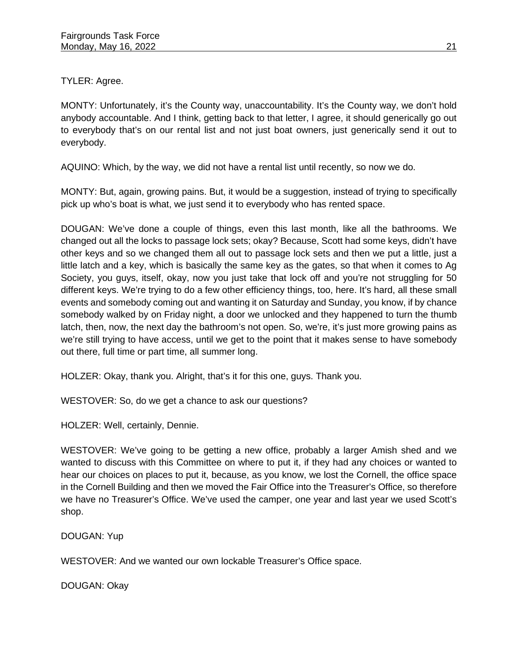TYLER: Agree.

MONTY: Unfortunately, it's the County way, unaccountability. It's the County way, we don't hold anybody accountable. And I think, getting back to that letter, I agree, it should generically go out to everybody that's on our rental list and not just boat owners, just generically send it out to everybody.

AQUINO: Which, by the way, we did not have a rental list until recently, so now we do.

MONTY: But, again, growing pains. But, it would be a suggestion, instead of trying to specifically pick up who's boat is what, we just send it to everybody who has rented space.

DOUGAN: We've done a couple of things, even this last month, like all the bathrooms. We changed out all the locks to passage lock sets; okay? Because, Scott had some keys, didn't have other keys and so we changed them all out to passage lock sets and then we put a little, just a little latch and a key, which is basically the same key as the gates, so that when it comes to Ag Society, you guys, itself, okay, now you just take that lock off and you're not struggling for 50 different keys. We're trying to do a few other efficiency things, too, here. It's hard, all these small events and somebody coming out and wanting it on Saturday and Sunday, you know, if by chance somebody walked by on Friday night, a door we unlocked and they happened to turn the thumb latch, then, now, the next day the bathroom's not open. So, we're, it's just more growing pains as we're still trying to have access, until we get to the point that it makes sense to have somebody out there, full time or part time, all summer long.

HOLZER: Okay, thank you. Alright, that's it for this one, guys. Thank you.

WESTOVER: So, do we get a chance to ask our questions?

HOLZER: Well, certainly, Dennie.

WESTOVER: We've going to be getting a new office, probably a larger Amish shed and we wanted to discuss with this Committee on where to put it, if they had any choices or wanted to hear our choices on places to put it, because, as you know, we lost the Cornell, the office space in the Cornell Building and then we moved the Fair Office into the Treasurer's Office, so therefore we have no Treasurer's Office. We've used the camper, one year and last year we used Scott's shop.

DOUGAN: Yup

WESTOVER: And we wanted our own lockable Treasurer's Office space.

DOUGAN: Okay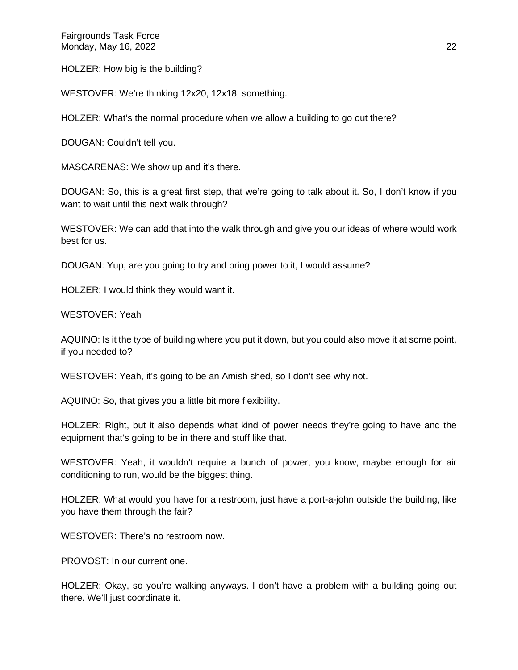HOLZER: How big is the building?

WESTOVER: We're thinking 12x20, 12x18, something.

HOLZER: What's the normal procedure when we allow a building to go out there?

DOUGAN: Couldn't tell you.

MASCARENAS: We show up and it's there.

DOUGAN: So, this is a great first step, that we're going to talk about it. So, I don't know if you want to wait until this next walk through?

WESTOVER: We can add that into the walk through and give you our ideas of where would work best for us.

DOUGAN: Yup, are you going to try and bring power to it, I would assume?

HOLZER: I would think they would want it.

WESTOVER: Yeah

AQUINO: Is it the type of building where you put it down, but you could also move it at some point, if you needed to?

WESTOVER: Yeah, it's going to be an Amish shed, so I don't see why not.

AQUINO: So, that gives you a little bit more flexibility.

HOLZER: Right, but it also depends what kind of power needs they're going to have and the equipment that's going to be in there and stuff like that.

WESTOVER: Yeah, it wouldn't require a bunch of power, you know, maybe enough for air conditioning to run, would be the biggest thing.

HOLZER: What would you have for a restroom, just have a port-a-john outside the building, like you have them through the fair?

WESTOVER: There's no restroom now.

PROVOST: In our current one.

HOLZER: Okay, so you're walking anyways. I don't have a problem with a building going out there. We'll just coordinate it.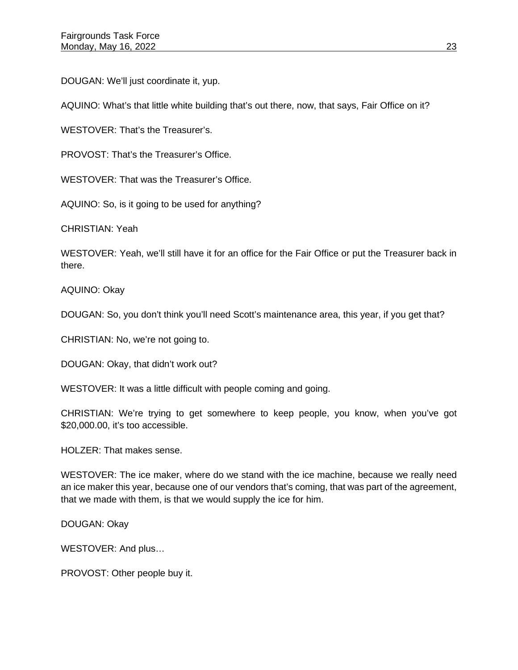DOUGAN: We'll just coordinate it, yup.

AQUINO: What's that little white building that's out there, now, that says, Fair Office on it?

WESTOVER: That's the Treasurer's.

PROVOST: That's the Treasurer's Office.

WESTOVER: That was the Treasurer's Office.

AQUINO: So, is it going to be used for anything?

CHRISTIAN: Yeah

WESTOVER: Yeah, we'll still have it for an office for the Fair Office or put the Treasurer back in there.

AQUINO: Okay

DOUGAN: So, you don't think you'll need Scott's maintenance area, this year, if you get that?

CHRISTIAN: No, we're not going to.

DOUGAN: Okay, that didn't work out?

WESTOVER: It was a little difficult with people coming and going.

CHRISTIAN: We're trying to get somewhere to keep people, you know, when you've got \$20,000.00, it's too accessible.

HOLZER: That makes sense.

WESTOVER: The ice maker, where do we stand with the ice machine, because we really need an ice maker this year, because one of our vendors that's coming, that was part of the agreement, that we made with them, is that we would supply the ice for him.

DOUGAN: Okay

WESTOVER: And plus…

PROVOST: Other people buy it.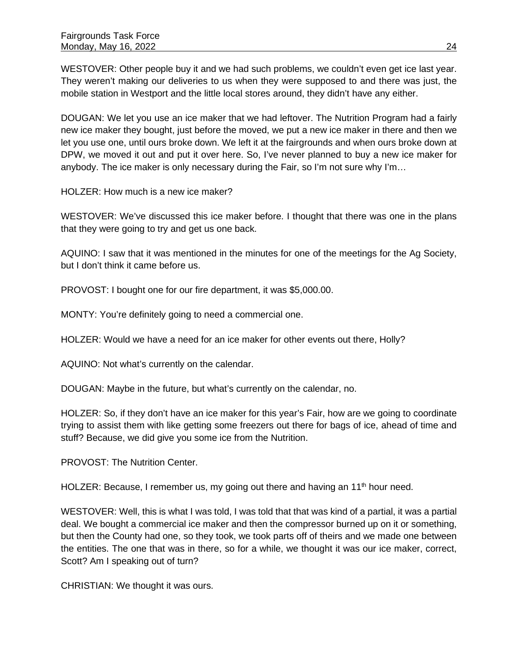WESTOVER: Other people buy it and we had such problems, we couldn't even get ice last year. They weren't making our deliveries to us when they were supposed to and there was just, the mobile station in Westport and the little local stores around, they didn't have any either.

DOUGAN: We let you use an ice maker that we had leftover. The Nutrition Program had a fairly new ice maker they bought, just before the moved, we put a new ice maker in there and then we let you use one, until ours broke down. We left it at the fairgrounds and when ours broke down at DPW, we moved it out and put it over here. So, I've never planned to buy a new ice maker for anybody. The ice maker is only necessary during the Fair, so I'm not sure why I'm…

HOLZER: How much is a new ice maker?

WESTOVER: We've discussed this ice maker before. I thought that there was one in the plans that they were going to try and get us one back.

AQUINO: I saw that it was mentioned in the minutes for one of the meetings for the Ag Society, but I don't think it came before us.

PROVOST: I bought one for our fire department, it was \$5,000.00.

MONTY: You're definitely going to need a commercial one.

HOLZER: Would we have a need for an ice maker for other events out there, Holly?

AQUINO: Not what's currently on the calendar.

DOUGAN: Maybe in the future, but what's currently on the calendar, no.

HOLZER: So, if they don't have an ice maker for this year's Fair, how are we going to coordinate trying to assist them with like getting some freezers out there for bags of ice, ahead of time and stuff? Because, we did give you some ice from the Nutrition.

PROVOST: The Nutrition Center.

HOLZER: Because, I remember us, my going out there and having an 11<sup>th</sup> hour need.

WESTOVER: Well, this is what I was told, I was told that that was kind of a partial, it was a partial deal. We bought a commercial ice maker and then the compressor burned up on it or something, but then the County had one, so they took, we took parts off of theirs and we made one between the entities. The one that was in there, so for a while, we thought it was our ice maker, correct, Scott? Am I speaking out of turn?

CHRISTIAN: We thought it was ours.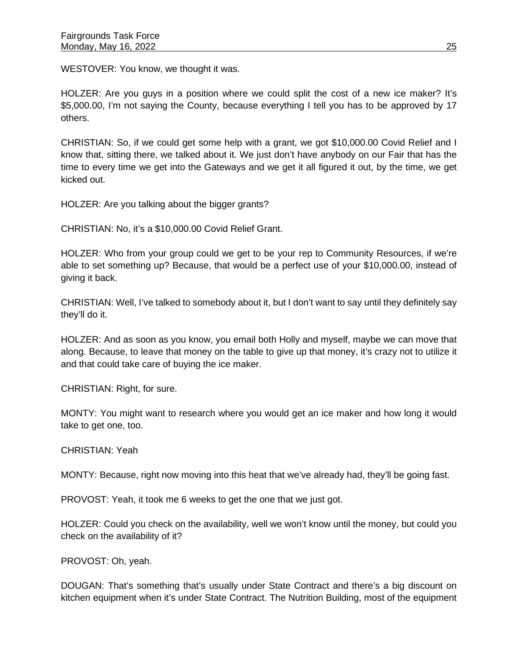WESTOVER: You know, we thought it was.

HOLZER: Are you guys in a position where we could split the cost of a new ice maker? It's \$5,000.00, I'm not saying the County, because everything I tell you has to be approved by 17 others.

CHRISTIAN: So, if we could get some help with a grant, we got \$10,000.00 Covid Relief and I know that, sitting there, we talked about it. We just don't have anybody on our Fair that has the time to every time we get into the Gateways and we get it all figured it out, by the time, we get kicked out.

HOLZER: Are you talking about the bigger grants?

CHRISTIAN: No, it's a \$10,000.00 Covid Relief Grant.

HOLZER: Who from your group could we get to be your rep to Community Resources, if we're able to set something up? Because, that would be a perfect use of your \$10,000.00, instead of giving it back.

CHRISTIAN: Well, I've talked to somebody about it, but I don't want to say until they definitely say they'll do it.

HOLZER: And as soon as you know, you email both Holly and myself, maybe we can move that along. Because, to leave that money on the table to give up that money, it's crazy not to utilize it and that could take care of buying the ice maker.

CHRISTIAN: Right, for sure.

MONTY: You might want to research where you would get an ice maker and how long it would take to get one, too.

CHRISTIAN: Yeah

MONTY: Because, right now moving into this heat that we've already had, they'll be going fast.

PROVOST: Yeah, it took me 6 weeks to get the one that we just got.

HOLZER: Could you check on the availability, well we won't know until the money, but could you check on the availability of it?

PROVOST: Oh, yeah.

DOUGAN: That's something that's usually under State Contract and there's a big discount on kitchen equipment when it's under State Contract. The Nutrition Building, most of the equipment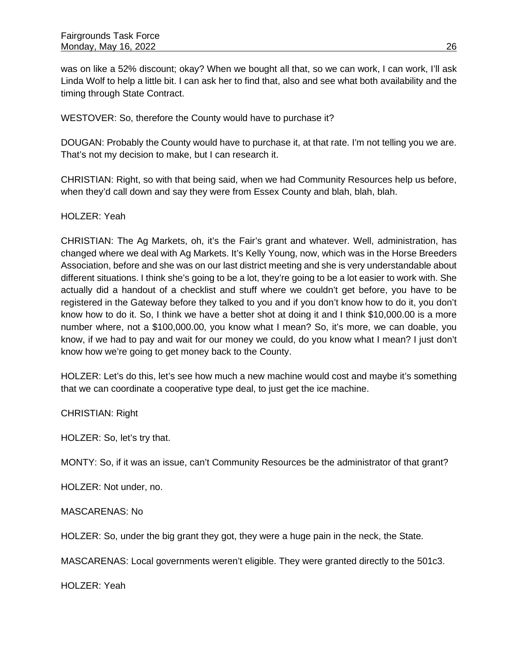was on like a 52% discount; okay? When we bought all that, so we can work, I can work, I'll ask Linda Wolf to help a little bit. I can ask her to find that, also and see what both availability and the timing through State Contract.

WESTOVER: So, therefore the County would have to purchase it?

DOUGAN: Probably the County would have to purchase it, at that rate. I'm not telling you we are. That's not my decision to make, but I can research it.

CHRISTIAN: Right, so with that being said, when we had Community Resources help us before, when they'd call down and say they were from Essex County and blah, blah, blah.

#### HOLZER: Yeah

CHRISTIAN: The Ag Markets, oh, it's the Fair's grant and whatever. Well, administration, has changed where we deal with Ag Markets. It's Kelly Young, now, which was in the Horse Breeders Association, before and she was on our last district meeting and she is very understandable about different situations. I think she's going to be a lot, they're going to be a lot easier to work with. She actually did a handout of a checklist and stuff where we couldn't get before, you have to be registered in the Gateway before they talked to you and if you don't know how to do it, you don't know how to do it. So, I think we have a better shot at doing it and I think \$10,000.00 is a more number where, not a \$100,000.00, you know what I mean? So, it's more, we can doable, you know, if we had to pay and wait for our money we could, do you know what I mean? I just don't know how we're going to get money back to the County.

HOLZER: Let's do this, let's see how much a new machine would cost and maybe it's something that we can coordinate a cooperative type deal, to just get the ice machine.

#### CHRISTIAN: Right

HOLZER: So, let's try that.

MONTY: So, if it was an issue, can't Community Resources be the administrator of that grant?

HOLZER: Not under, no.

#### MASCARENAS: No

HOLZER: So, under the big grant they got, they were a huge pain in the neck, the State.

MASCARENAS: Local governments weren't eligible. They were granted directly to the 501c3.

HOLZER: Yeah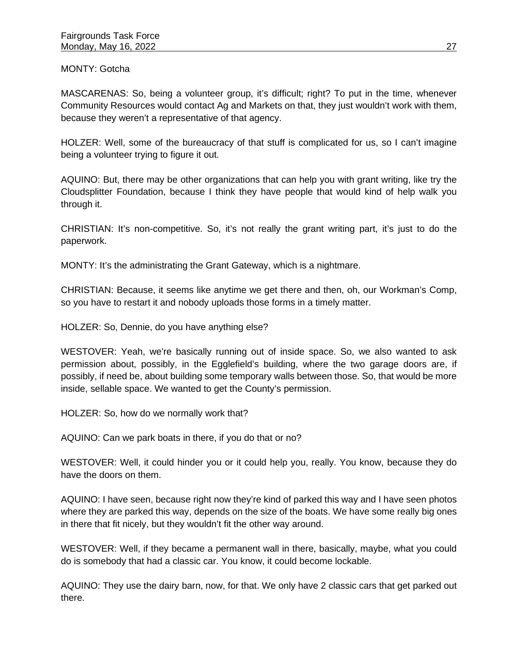MONTY: Gotcha

MASCARENAS: So, being a volunteer group, it's difficult; right? To put in the time, whenever Community Resources would contact Ag and Markets on that, they just wouldn't work with them, because they weren't a representative of that agency.

HOLZER: Well, some of the bureaucracy of that stuff is complicated for us, so I can't imagine being a volunteer trying to figure it out.

AQUINO: But, there may be other organizations that can help you with grant writing, like try the Cloudsplitter Foundation, because I think they have people that would kind of help walk you through it.

CHRISTIAN: It's non-competitive. So, it's not really the grant writing part, it's just to do the paperwork.

MONTY: It's the administrating the Grant Gateway, which is a nightmare.

CHRISTIAN: Because, it seems like anytime we get there and then, oh, our Workman's Comp, so you have to restart it and nobody uploads those forms in a timely matter.

HOLZER: So, Dennie, do you have anything else?

WESTOVER: Yeah, we're basically running out of inside space. So, we also wanted to ask permission about, possibly, in the Egglefield's building, where the two garage doors are, if possibly, if need be, about building some temporary walls between those. So, that would be more inside, sellable space. We wanted to get the County's permission.

HOLZER: So, how do we normally work that?

AQUINO: Can we park boats in there, if you do that or no?

WESTOVER: Well, it could hinder you or it could help you, really. You know, because they do have the doors on them.

AQUINO: I have seen, because right now they're kind of parked this way and I have seen photos where they are parked this way, depends on the size of the boats. We have some really big ones in there that fit nicely, but they wouldn't fit the other way around.

WESTOVER: Well, if they became a permanent wall in there, basically, maybe, what you could do is somebody that had a classic car. You know, it could become lockable.

AQUINO: They use the dairy barn, now, for that. We only have 2 classic cars that get parked out there.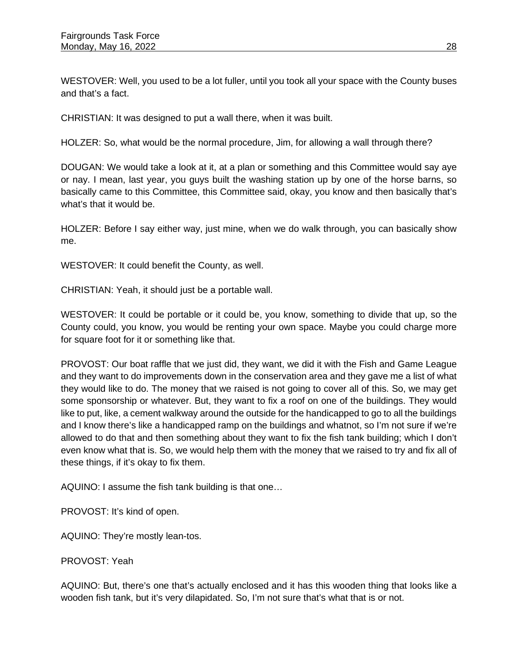WESTOVER: Well, you used to be a lot fuller, until you took all your space with the County buses and that's a fact.

CHRISTIAN: It was designed to put a wall there, when it was built.

HOLZER: So, what would be the normal procedure, Jim, for allowing a wall through there?

DOUGAN: We would take a look at it, at a plan or something and this Committee would say aye or nay. I mean, last year, you guys built the washing station up by one of the horse barns, so basically came to this Committee, this Committee said, okay, you know and then basically that's what's that it would be.

HOLZER: Before I say either way, just mine, when we do walk through, you can basically show me.

WESTOVER: It could benefit the County, as well.

CHRISTIAN: Yeah, it should just be a portable wall.

WESTOVER: It could be portable or it could be, you know, something to divide that up, so the County could, you know, you would be renting your own space. Maybe you could charge more for square foot for it or something like that.

PROVOST: Our boat raffle that we just did, they want, we did it with the Fish and Game League and they want to do improvements down in the conservation area and they gave me a list of what they would like to do. The money that we raised is not going to cover all of this. So, we may get some sponsorship or whatever. But, they want to fix a roof on one of the buildings. They would like to put, like, a cement walkway around the outside for the handicapped to go to all the buildings and I know there's like a handicapped ramp on the buildings and whatnot, so I'm not sure if we're allowed to do that and then something about they want to fix the fish tank building; which I don't even know what that is. So, we would help them with the money that we raised to try and fix all of these things, if it's okay to fix them.

AQUINO: I assume the fish tank building is that one…

PROVOST: It's kind of open.

AQUINO: They're mostly lean-tos.

PROVOST: Yeah

AQUINO: But, there's one that's actually enclosed and it has this wooden thing that looks like a wooden fish tank, but it's very dilapidated. So, I'm not sure that's what that is or not.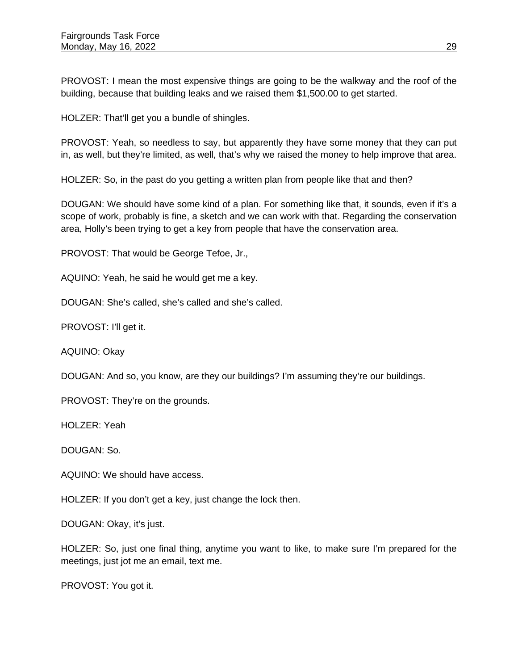PROVOST: I mean the most expensive things are going to be the walkway and the roof of the building, because that building leaks and we raised them \$1,500.00 to get started.

HOLZER: That'll get you a bundle of shingles.

PROVOST: Yeah, so needless to say, but apparently they have some money that they can put in, as well, but they're limited, as well, that's why we raised the money to help improve that area.

HOLZER: So, in the past do you getting a written plan from people like that and then?

DOUGAN: We should have some kind of a plan. For something like that, it sounds, even if it's a scope of work, probably is fine, a sketch and we can work with that. Regarding the conservation area, Holly's been trying to get a key from people that have the conservation area.

PROVOST: That would be George Tefoe, Jr.,

AQUINO: Yeah, he said he would get me a key.

DOUGAN: She's called, she's called and she's called.

PROVOST: I'll get it.

AQUINO: Okay

DOUGAN: And so, you know, are they our buildings? I'm assuming they're our buildings.

PROVOST: They're on the grounds.

HOLZER: Yeah

DOUGAN: So.

AQUINO: We should have access.

HOLZER: If you don't get a key, just change the lock then.

DOUGAN: Okay, it's just.

HOLZER: So, just one final thing, anytime you want to like, to make sure I'm prepared for the meetings, just jot me an email, text me.

PROVOST: You got it.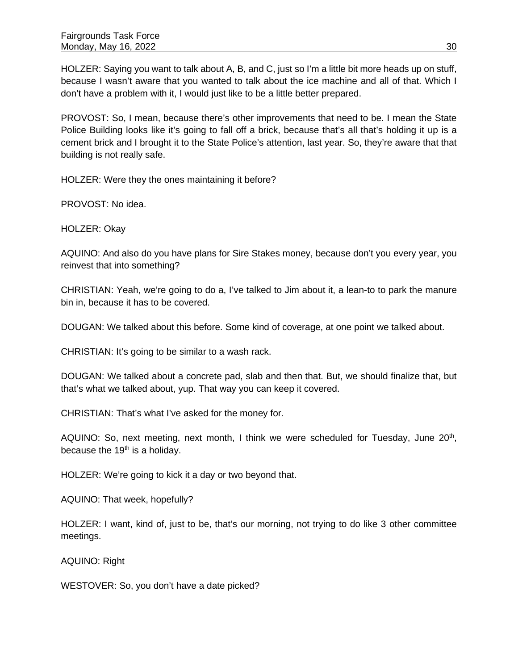HOLZER: Saying you want to talk about A, B, and C, just so I'm a little bit more heads up on stuff, because I wasn't aware that you wanted to talk about the ice machine and all of that. Which I don't have a problem with it, I would just like to be a little better prepared.

PROVOST: So, I mean, because there's other improvements that need to be. I mean the State Police Building looks like it's going to fall off a brick, because that's all that's holding it up is a cement brick and I brought it to the State Police's attention, last year. So, they're aware that that building is not really safe.

HOLZER: Were they the ones maintaining it before?

PROVOST: No idea.

HOLZER: Okay

AQUINO: And also do you have plans for Sire Stakes money, because don't you every year, you reinvest that into something?

CHRISTIAN: Yeah, we're going to do a, I've talked to Jim about it, a lean-to to park the manure bin in, because it has to be covered.

DOUGAN: We talked about this before. Some kind of coverage, at one point we talked about.

CHRISTIAN: It's going to be similar to a wash rack.

DOUGAN: We talked about a concrete pad, slab and then that. But, we should finalize that, but that's what we talked about, yup. That way you can keep it covered.

CHRISTIAN: That's what I've asked for the money for.

AQUINO: So, next meeting, next month, I think we were scheduled for Tuesday, June  $20<sup>th</sup>$ , because the  $19<sup>th</sup>$  is a holiday.

HOLZER: We're going to kick it a day or two beyond that.

AQUINO: That week, hopefully?

HOLZER: I want, kind of, just to be, that's our morning, not trying to do like 3 other committee meetings.

AQUINO: Right

WESTOVER: So, you don't have a date picked?